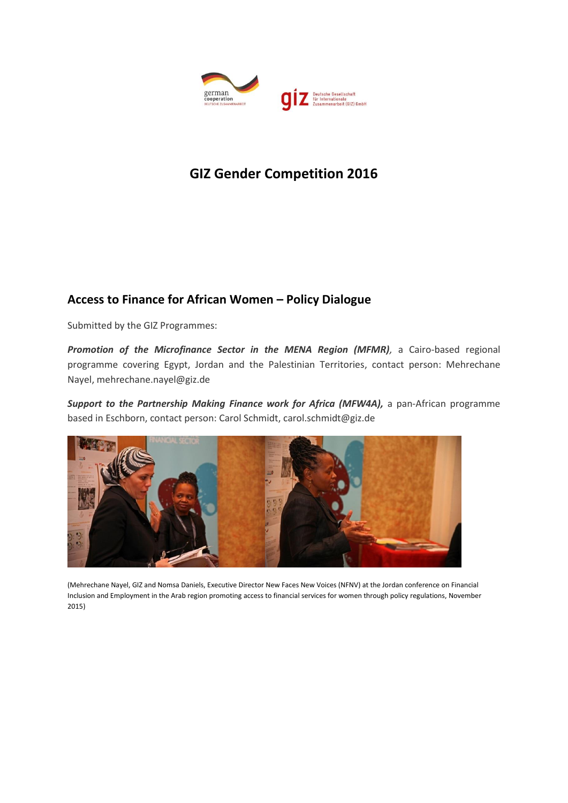

# **GIZ Gender Competition 2016**

## **Access to Finance for African Women – Policy Dialogue**

Submitted by the GIZ Programmes:

*Promotion of the Microfinance Sector in the MENA Region (MFMR),* a Cairo-based regional programme covering Egypt, Jordan and the Palestinian Territories, contact person: Mehrechane Nayel, mehrechane.nayel@giz.de

*Support to the Partnership Making Finance work for Africa (MFW4A),* a pan-African programme based in Eschborn, contact person: Carol Schmidt, carol.schmidt@giz.de



(Mehrechane Nayel, GIZ and Nomsa Daniels, Executive Director New Faces New Voices (NFNV) at the Jordan conference on Financial Inclusion and Employment in the Arab region promoting access to financial services for women through policy regulations, November 2015)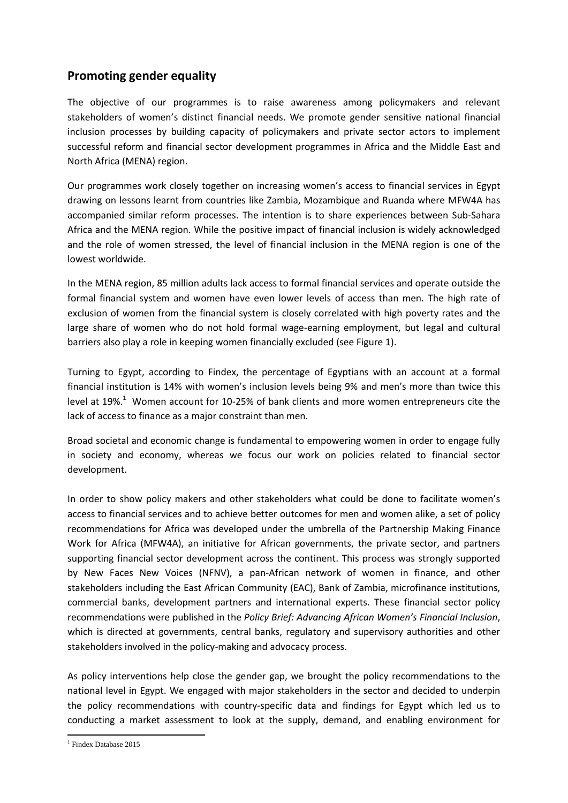### **Promoting gender equality**

The objective of our programmes is to raise awareness among policymakers and relevant stakeholders of women's distinct financial needs. We promote gender sensitive national financial inclusion processes by building capacity of policymakers and private sector actors to implement successful reform and financial sector development programmes in Africa and the Middle East and North Africa (MENA) region.

Our programmes work closely together on increasing women's access to financial services in Egypt drawing on lessons learnt from countries like Zambia, Mozambique and Ruanda where MFW4A has accompanied similar reform processes. The intention is to share experiences between Sub-Sahara Africa and the MENA region. While the positive impact of financial inclusion is widely acknowledged and the role of women stressed, the level of financial inclusion in the MENA region is one of the lowest worldwide.

In the MENA region, 85 million adults lack access to formal financial services and operate outside the formal financial system and women have even lower levels of access than men. The high rate of exclusion of women from the financial system is closely correlated with high poverty rates and the large share of women who do not hold formal wage-earning employment, but legal and cultural barriers also play a role in keeping women financially excluded (see Figure 1).

Turning to Egypt, according to Findex, the percentage of Egyptians with an account at a formal financial institution is 14% with women's inclusion levels being 9% and men's more than twice this level at 19%.<sup>1</sup> Women account for 10-25% of bank clients and more women entrepreneurs cite the lack of access to finance as a major constraint than men.

Broad societal and economic change is fundamental to empowering women in order to engage fully in society and economy, whereas we focus our work on policies related to financial sector development.

In order to show policy makers and other stakeholders what could be done to facilitate women's access to financial services and to achieve better outcomes for men and women alike, a set of policy recommendations for Africa was developed under the umbrella of the Partnership [Making Finance](http://www.mfw4a.org/)  [Work for Africa](http://www.mfw4a.org/) (MFW4A), an initiative for African governments, the private sector, and partners supporting financial sector development across the continent. This process was strongly supported by New Faces New Voices (NFNV), a pan-African network of women in finance, and other stakeholders including the East African Community (EAC), Bank of Zambia, microfinance institutions, commercial banks, development partners and international experts. These financial sector policy recommendations were published in the *Policy Brief[: Advancing African Women's Financial Inclusion](http://www.mfw4a.org/documents-details/advancing-african-womens-financial-inclusion.html?dl=1)*, which is directed at governments, central banks, regulatory and supervisory authorities and other stakeholders involved in the policy-making and advocacy process.

As policy interventions help close the gender gap, we brought the policy recommendations to the national level in Egypt. We engaged with major stakeholders in the sector and decided to underpin the policy recommendations with country-specific data and findings for Egypt which led us to conducting a market assessment to look at the supply, demand, and enabling environment for

**<sup>.</sup>** <sup>1</sup> Findex Database 2015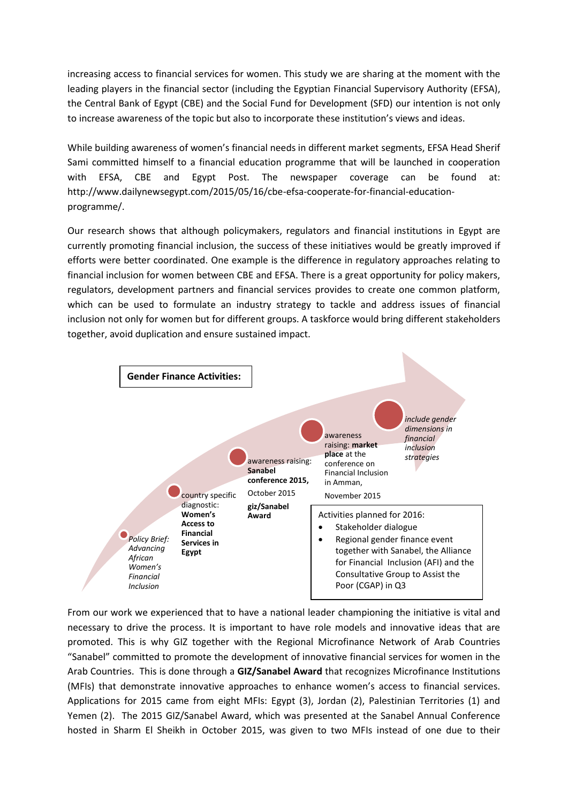increasing access to financial services for women. This study we are sharing at the moment with the leading players in the financial sector (including the [Egyptian Financial Supervisory Authority \(EFSA\),](http://www.efsa.gov.eg/jtags/efsa_en/index_en.jsp) the Central Bank of Egypt (CBE) and the [Social Fund for Development \(](https://en.wikipedia.org/wiki/Social_Fund_for_Development_(Egypt))SFD) our intention is not only to increase awareness of the topic but also to incorporate these institution's views and ideas.

While building awareness of women's financial needs in different market segments, EFSA Head Sherif Sami committed himself to a financial education programme that will be launched in cooperation with EFSA, CBE and Egypt Post. The newspaper coverage can be found at: [http://www.dailynewsegypt.com/2015/05/16/cbe-efsa-cooperate-for-financial-education](http://www.dailynewsegypt.com/2015/05/16/cbe-efsa-cooperate-for-financial-education-programme/)[programme/.](http://www.dailynewsegypt.com/2015/05/16/cbe-efsa-cooperate-for-financial-education-programme/)

Our research shows that although policymakers, regulators and financial institutions in Egypt are currently promoting financial inclusion, the success of these initiatives would be greatly improved if efforts were better coordinated. One example is the difference in regulatory approaches relating to financial inclusion for women between CBE and EFSA. There is a great opportunity for policy makers, regulators, development partners and financial services provides to create one common platform, which can be used to formulate an industry strategy to tackle and address issues of financial inclusion not only for women but for different groups. A taskforce would bring different stakeholders together, avoid duplication and ensure sustained impact.



From our work we experienced that to have a national leader championing the initiative is vital and necessary to drive the process. It is important to have role models and innovative ideas that are promoted. This is why GIZ together with the Regional Microfinance Network of Arab Countries "Sanabel" committed to promote the development of innovative financial services for women in the Arab Countries. This is done through a **GIZ/Sanabel Award** that recognizes Microfinance Institutions (MFIs) that demonstrate innovative approaches to enhance women's access to financial services. Applications for 2015 came from eight MFIs: Egypt (3), Jordan (2), Palestinian Territories (1) and Yemen (2). The 2015 GIZ/Sanabel Award, which was presented at the Sanabel Annual Conference hosted in Sharm El Sheikh in October 2015, was given to two MFIs instead of one due to their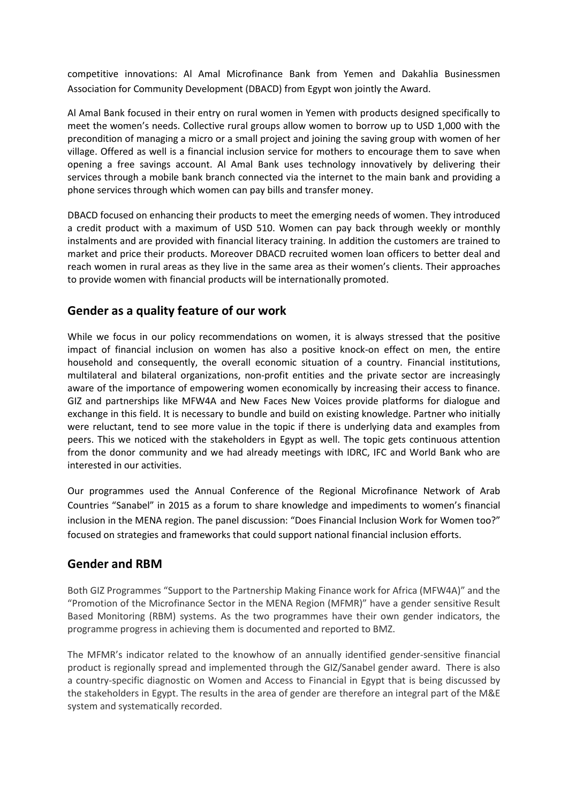competitive innovations: Al Amal Microfinance Bank from Yemen and Dakahlia Businessmen Association for Community Development (DBACD) from Egypt won jointly the Award.

Al Amal Bank focused in their entry on rural women in Yemen with products designed specifically to meet the women's needs. Collective rural groups allow women to borrow up to USD 1,000 with the precondition of managing a micro or a small project and joining the saving group with women of her village. Offered as well is a financial inclusion service for mothers to encourage them to save when opening a free savings account. Al Amal Bank uses technology innovatively by delivering their services through a mobile bank branch connected via the internet to the main bank and providing a phone services through which women can pay bills and transfer money.

DBACD focused on enhancing their products to meet the emerging needs of women. They introduced a credit product with a maximum of USD 510. Women can pay back through weekly or monthly instalments and are provided with financial literacy training. In addition the customers are trained to market and price their products. Moreover DBACD recruited women loan officers to better deal and reach women in rural areas as they live in the same area as their women's clients. Their approaches to provide women with financial products will be internationally promoted.

### **Gender as a quality feature of our work**

While we focus in our policy recommendations on women, it is always stressed that the positive impact of financial inclusion on women has also a positive knock-on effect on men, the entire household and consequently, the overall economic situation of a country. Financial institutions, multilateral and bilateral organizations, non-profit entities and the private sector are increasingly aware of the importance of empowering women economically by increasing their access to finance. GIZ and partnerships like MFW4A and New Faces New Voices provide platforms for dialogue and exchange in this field. It is necessary to bundle and build on existing knowledge. Partner who initially were reluctant, tend to see more value in the topic if there is underlying data and examples from peers. This we noticed with the stakeholders in Egypt as well. The topic gets continuous attention from the donor community and we had already meetings with IDRC, IFC and World Bank who are interested in our activities.

Our programmes used the Annual Conference of the Regional Microfinance Network of Arab Countries "Sanabel" in 2015 as a forum to share knowledge and impediments to women's financial inclusion in the MENA region. The panel discussion: "Does Financial Inclusion Work for Women too?" focused on strategies and frameworks that could support national financial inclusion efforts.

### **Gender and RBM**

Both GIZ Programmes "Support to the Partnership Making Finance work for Africa (MFW4A)" and the "Promotion of the Microfinance Sector in the MENA Region (MFMR)" have a gender sensitive Result Based Monitoring (RBM) systems. As the two programmes have their own gender indicators, the programme progress in achieving them is documented and reported to BMZ.

The MFMR's indicator related to the knowhow of an annually identified gender-sensitive financial product is regionally spread and implemented through the GIZ/Sanabel gender award. There is also a country-specific diagnostic on Women and Access to Financial in Egypt that is being discussed by the stakeholders in Egypt. The results in the area of gender are therefore an integral part of the M&E system and systematically recorded.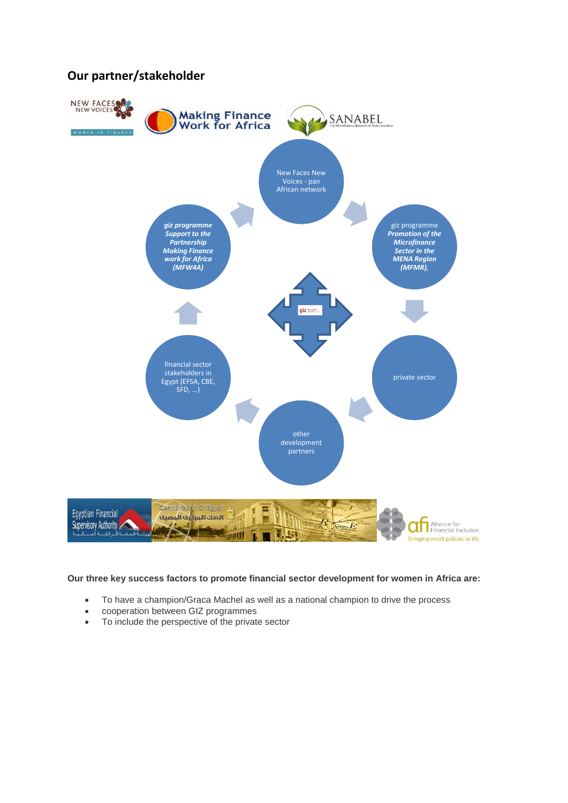### **Our partner/stakeholder**



#### **Our three key success factors to promote financial sector development for women in Africa are:**

- To have a champion/Graca Machel as well as a national champion to drive the process
- cooperation between GIZ programmes
- To include the perspective of the private sector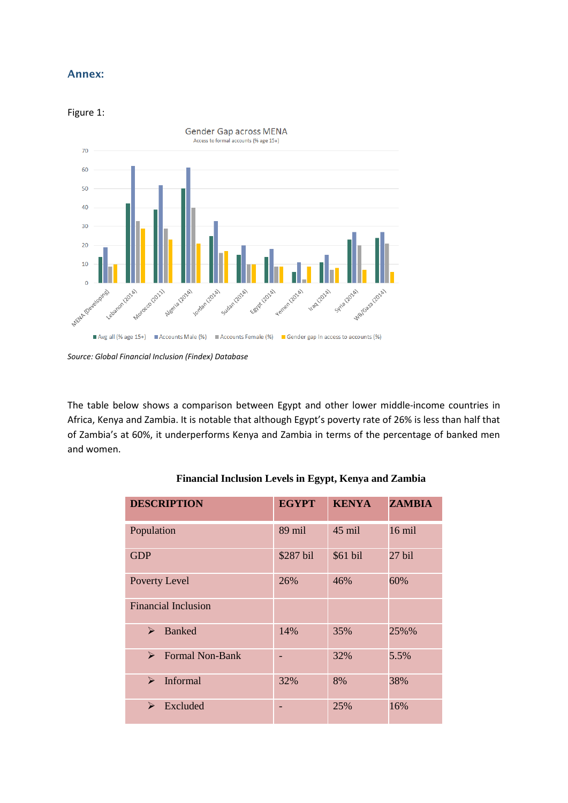### **Annex:**

#### Figure 1:



*Source: Global Financial Inclusion (Findex) Database*

The table below shows a comparison between Egypt and other lower middle-income countries in Africa, Kenya and Zambia. It is notable that although Egypt's poverty rate of 26% is less than half that of Zambia's at 60%, it underperforms Kenya and Zambia in terms of the percentage of banked men and women.

| <b>DESCRIPTION</b>                              | <b>EGYPT</b> | <b>KENYA</b> | <b>ZAMBIA</b> |
|-------------------------------------------------|--------------|--------------|---------------|
| Population                                      | 89 mil       | 45 mil       | $16$ mil      |
| <b>GDP</b>                                      | \$287 bil    | \$61 bil     | 27 bil        |
| Poverty Level                                   | 26%          | 46%          | 60%           |
| <b>Financial Inclusion</b>                      |              |              |               |
| <b>Banked</b><br>⋗                              | 14%          | 35%          | 25%%          |
| <b>Formal Non-Bank</b><br>$\blacktriangleright$ |              | 32%          | 5.5%          |
| <b>Informal</b><br>➤                            | 32%          | 8%           | 38%           |
| Excluded<br>⋗                                   |              | 25%          | 16%           |

#### **Financial Inclusion Levels in Egypt, Kenya and Zambia**